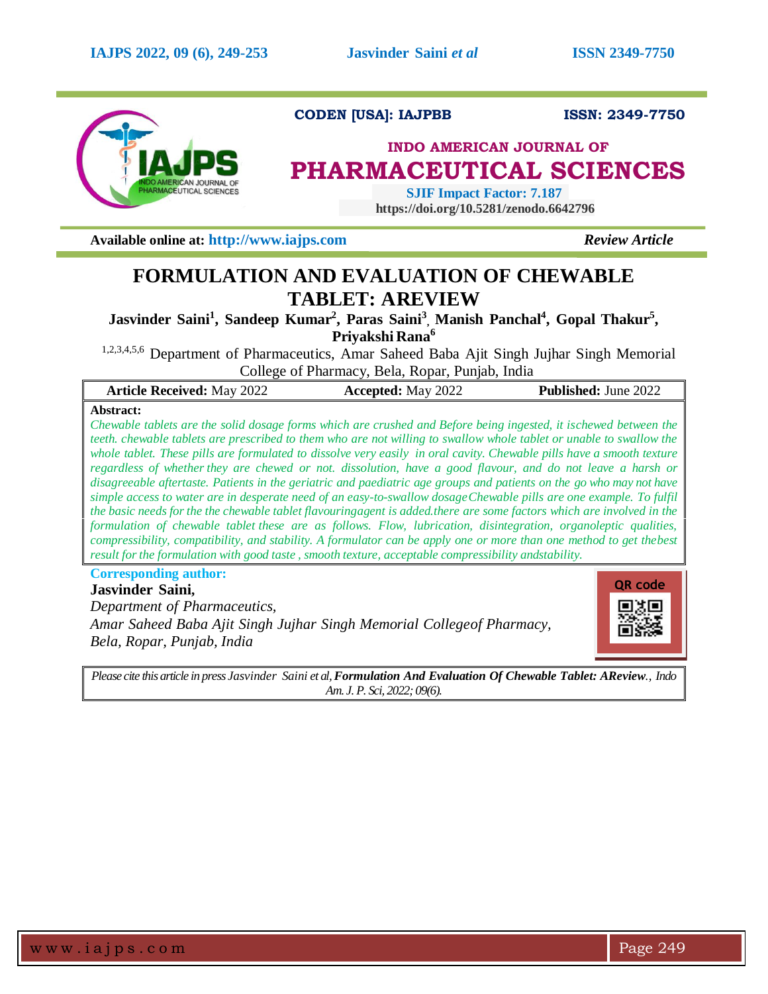

# **CODEN [USA]: IAJPBB ISSN: 2349-7750**

# **INDO AMERICAN JOURNAL OF PHARMACEUTICAL SCIENCES**

 **SJIF Impact Factor: 7.187 https://doi.org/10.5281/zenodo.6642796**

**Available online at: [http://www.iajps.com](http://www.iajps.com/)** *Review Article*

# **FORMULATION AND EVALUATION OF CHEWABLE TABLET: AREVIEW**

**Jasvinder Saini<sup>1</sup> , Sandeep Kumar<sup>2</sup> , Paras Saini<sup>3</sup> , Manish Panchal<sup>4</sup> , Gopal Thakur<sup>5</sup> , Priyakshi Rana<sup>6</sup>**

1,2,3,4,5,6 Department of Pharmaceutics, Amar Saheed Baba Ajit Singh Jujhar Singh Memorial College of Pharmacy, Bela, Ropar, Punjab, India

| <b>Article Received: May 2022</b> | <b>Accepted:</b> May 2022 | <b>Published:</b> June 2022 |
|-----------------------------------|---------------------------|-----------------------------|
| A hatvoot:                        |                           |                             |

**Abstract:**

Chewable tablets are the solid dosage forms which are crushed and Before being ingested, it ischewed between the *teeth. chewable tablets are prescribed to them who are not willing to swallow whole tablet or unable to swallow the whole tablet. These pills are formulated to dissolve very easily in oral cavity. Chewable pills have a smooth texture regardless of whether they are chewed or not. dissolution, have a good flavour, and do not leave a harsh or disagreeable aftertaste. Patients in the geriatric and paediatric age groups and patients on the go who may not have* simple access to water are in desperate need of an easy-to-swallow dosage Chewable pills are one example. To fulfil the basic needs for the the chewable tablet flavouringagent is added.there are some factors which are involved in the *formulation of chewable tablet these are as follows. Flow, lubrication, disintegration, organoleptic qualities,*  compressibility, compatibility, and stability. A formulator can be apply one or more than one method to get the best *result forthe formulation with good taste , smooth texture, acceptable compressibility andstability.*

**Corresponding author:** 

**Jasvinder Saini,**  *Department of Pharmaceutics, Amar Saheed Baba Ajit Singh Jujhar Singh Memorial Collegeof Pharmacy, Bela, Ropar, Punjab, India*



*Please cite this article in press Jasvinder Saini et al,Formulation And Evaluation Of Chewable Tablet: AReview., Indo Am. J. P. Sci, 2022; 09(6).*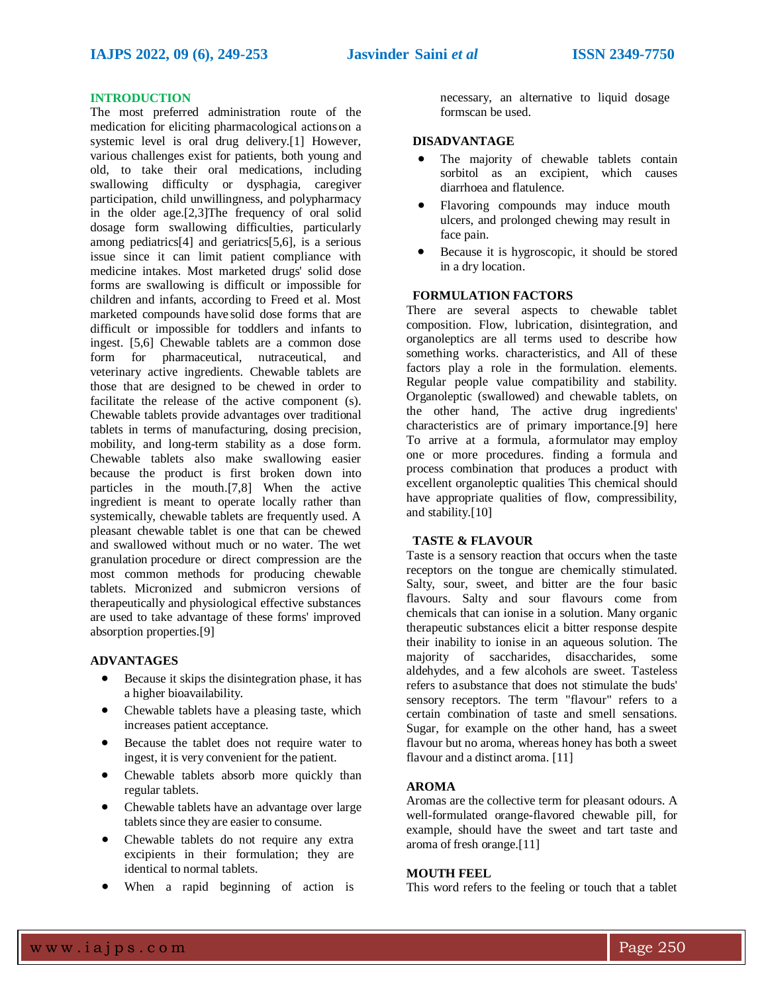# **INTRODUCTION**

The most preferred administration route of the medication for eliciting pharmacological actionson a systemic level is oral drug delivery.[1] However, various challenges exist for patients, both young and old, to take their oral medications, including swallowing difficulty or dysphagia, caregiver participation, child unwillingness, and polypharmacy in the older age.[2,3]The frequency of oral solid dosage form swallowing difficulties, particularly among pediatrics[4] and geriatrics[5,6], is a serious issue since it can limit patient compliance with medicine intakes. Most marketed drugs' solid dose forms are swallowing is difficult or impossible for children and infants, according to Freed et al. Most marketed compounds have solid dose forms that are difficult or impossible for toddlers and infants to ingest. [5,6] Chewable tablets are a common dose form for pharmaceutical, nutraceutical, and veterinary active ingredients. Chewable tablets are those that are designed to be chewed in order to facilitate the release of the active component (s). Chewable tablets provide advantages over traditional tablets in terms of manufacturing, dosing precision, mobility, and long-term stability as a dose form. Chewable tablets also make swallowing easier because the product is first broken down into particles in the mouth.[7,8] When the active ingredient is meant to operate locally rather than systemically, chewable tablets are frequently used. A pleasant chewable tablet is one that can be chewed and swallowed without much or no water. The wet granulation procedure or direct compression are the most common methods for producing chewable tablets. Micronized and submicron versions of therapeutically and physiological effective substances are used to take advantage of these forms' improved absorption properties.[9]

#### **ADVANTAGES**

- Because it skips the disintegration phase, it has a higher bioavailability.
- Chewable tablets have a pleasing taste, which increases patient acceptance.
- Because the tablet does not require water to ingest, it is very convenient for the patient.
- Chewable tablets absorb more quickly than regular tablets.
- Chewable tablets have an advantage over large tablets since they are easier to consume.
- Chewable tablets do not require any extra excipients in their formulation; they are identical to normal tablets.
- When a rapid beginning of action is

necessary, an alternative to liquid dosage formscan be used.

#### **DISADVANTAGE**

- The majority of chewable tablets contain sorbitol as an excipient, which causes diarrhoea and flatulence.
- Flavoring compounds may induce mouth ulcers, and prolonged chewing may result in face pain.
- Because it is hygroscopic, it should be stored in a dry location.

#### **FORMULATION FACTORS**

There are several aspects to chewable tablet composition. Flow, lubrication, disintegration, and organoleptics are all terms used to describe how something works. characteristics, and All of these factors play a role in the formulation. elements. Regular people value compatibility and stability. Organoleptic (swallowed) and chewable tablets, on the other hand, The active drug ingredients' characteristics are of primary importance.[9] here To arrive at a formula, aformulator may employ one or more procedures. finding a formula and process combination that produces a product with excellent organoleptic qualities This chemical should have appropriate qualities of flow, compressibility, and stability.[10]

## **TASTE & FLAVOUR**

Taste is a sensory reaction that occurs when the taste receptors on the tongue are chemically stimulated. Salty, sour, sweet, and bitter are the four basic flavours. Salty and sour flavours come from chemicals that can ionise in a solution. Many organic therapeutic substances elicit a bitter response despite their inability to ionise in an aqueous solution. The majority of saccharides, disaccharides, some aldehydes, and a few alcohols are sweet. Tasteless refers to asubstance that does not stimulate the buds' sensory receptors. The term "flavour" refers to a certain combination of taste and smell sensations. Sugar, for example on the other hand, has a sweet flavour but no aroma, whereas honey has both a sweet flavour and a distinct aroma. [11]

## **AROMA**

Aromas are the collective term for pleasant odours. A well-formulated orange-flavored chewable pill, for example, should have the sweet and tart taste and aroma of fresh orange.[11]

### **MOUTH FEEL**

This word refers to the feeling or touch that a tablet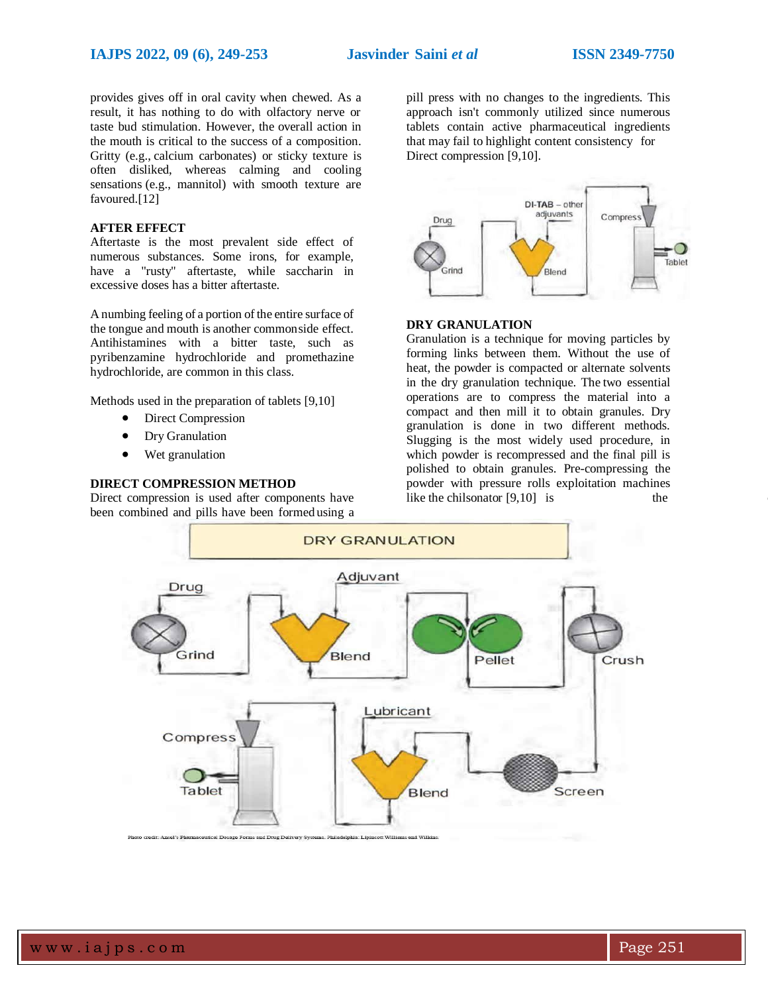provides gives off in oral cavity when chewed. As a result, it has nothing to do with olfactory nerve or taste bud stimulation. However, the overall action in the mouth is critical to the success of a composition. Gritty (e.g., calcium carbonates) or sticky texture is often disliked, whereas calming and cooling sensations (e.g., mannitol) with smooth texture are favoured.[12]

### **AFTER EFFECT**

Aftertaste is the most prevalent side effect of numerous substances. Some irons, for example, have a "rusty" aftertaste, while saccharin in excessive doses has a bitter aftertaste.

A numbing feeling of a portion of the entire surface of the tongue and mouth is another commonside effect. Antihistamines with a bitter taste, such as pyribenzamine hydrochloride and promethazine hydrochloride, are common in this class.

Methods used in the preparation of tablets [9,10]

- Direct Compression
- Dry Granulation
- Wet granulation

#### **DIRECT COMPRESSION METHOD**

Direct compression is used after components have been combined and pills have been formed using a pill press with no changes to the ingredients. This approach isn't commonly utilized since numerous tablets contain active pharmaceutical ingredients that may fail to highlight content consistency for Direct compression [9,10].



### **DRY GRANULATION**

Granulation is a technique for moving particles by forming links between them. Without the use of heat, the powder is compacted or alternate solvents in the dry granulation technique. The two essential operations are to compress the material into a compact and then mill it to obtain granules. Dry granulation is done in two different methods. Slugging is the most widely used procedure, in which powder is recompressed and the final pill is polished to obtain granules. Pre-compressing the powder with pressure rolls exploitation machines like the chilsonator  $[9,10]$  is the

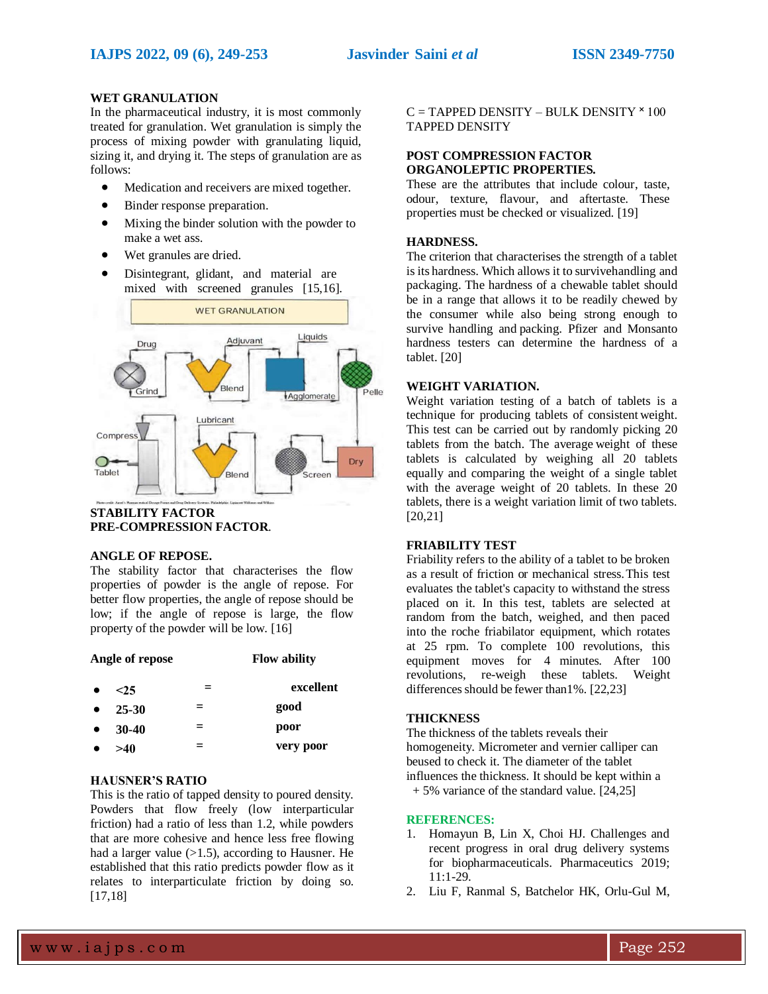# **WET GRANULATION**

In the pharmaceutical industry, it is most commonly treated for granulation. Wet granulation is simply the process of mixing powder with granulating liquid, sizing it, and drying it. The steps of granulation are as follows:

- Medication and receivers are mixed together.
- Binder response preparation.
- Mixing the binder solution with the powder to make a wet ass.
- Wet granules are dried.
- Disintegrant, glidant, and material are mixed with screened granules [15,16].



#### **STABILITY FACTOR PRE-COMPRESSION FACTOR**.

#### **ANGLE OF REPOSE.**

The stability factor that characterises the flow properties of powder is the angle of repose. For better flow properties, the angle of repose should be low; if the angle of repose is large, the flow property of the powder will be low. [16]

| Angle of repose | <b>Flow ability</b> |
|-----------------|---------------------|
|                 |                     |

 $\langle 25 \rangle$  = **excellent 25-30 = good 30-40**  $=$  **poor ˃40 = very poor**

# **HAUSNER'S RATIO**

This is the ratio of tapped density to poured density. Powders that flow freely (low interparticular friction) had a ratio of less than 1.2, while powders that are more cohesive and hence less free flowing had a larger value  $(>1.5)$ , according to Hausner. He established that this ratio predicts powder flow as it relates to interparticulate friction by doing so. [17,18]

 $C = TAPPED DENSITY - BULK DENSITY * 100$ TAPPED DENSITY

# **POST COMPRESSION FACTOR ORGANOLEPTIC PROPERTIES.**

These are the attributes that include colour, taste, odour, texture, flavour, and aftertaste. These properties must be checked or visualized. [19]

## **HARDNESS.**

The criterion that characterises the strength of a tablet is its hardness. Which allows it to survivehandling and packaging. The hardness of a chewable tablet should be in a range that allows it to be readily chewed by the consumer while also being strong enough to survive handling and packing. Pfizer and Monsanto hardness testers can determine the hardness of a tablet. [20]

# **WEIGHT VARIATION.**

Weight variation testing of a batch of tablets is a technique for producing tablets of consistent weight. This test can be carried out by randomly picking 20 tablets from the batch. The average weight of these tablets is calculated by weighing all 20 tablets equally and comparing the weight of a single tablet with the average weight of 20 tablets. In these 20 tablets, there is a weight variation limit of two tablets. [20,21]

# **FRIABILITY TEST**

Friability refers to the ability of a tablet to be broken as a result of friction or mechanical stress.This test evaluates the tablet's capacity to withstand the stress placed on it. In this test, tablets are selected at random from the batch, weighed, and then paced into the roche friabilator equipment, which rotates at 25 rpm. To complete 100 revolutions, this equipment moves for 4 minutes. After 100 revolutions, re-weigh these tablets. Weight differences should be fewer than  $1\%$ . [22,23]

### **THICKNESS**

The thickness of the tablets reveals their homogeneity. Micrometer and vernier calliper can beused to check it. The diameter of the tablet influences the thickness. It should be kept within a + 5% variance of the standard value. [24,25]

#### **REFERENCES:**

- 1. Homayun B, Lin X, Choi HJ. Challenges and recent progress in oral drug delivery systems for biopharmaceuticals. Pharmaceutics 2019; 11:1-29.
- 2. Liu F, Ranmal S, Batchelor HK, Orlu-Gul M,